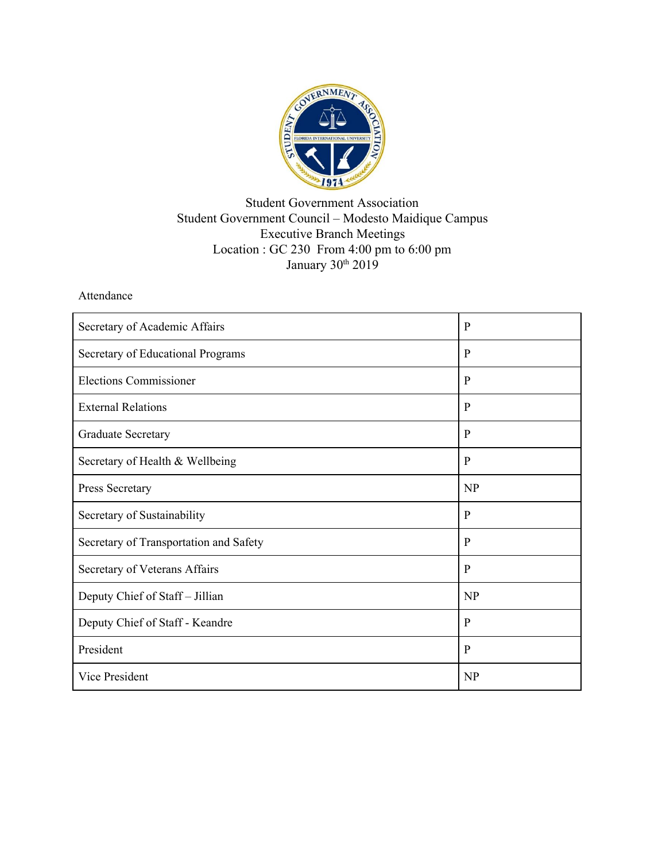

## Student Government Association Student Government Council – Modesto Maidique Campus Executive Branch Meetings Location : GC 230 From 4:00 pm to 6:00 pm January 30<sup>th</sup> 2019

## Attendance

| Secretary of Academic Affairs          | $\mathbf{P}$ |
|----------------------------------------|--------------|
| Secretary of Educational Programs      | $\mathbf{P}$ |
| <b>Elections Commissioner</b>          | $\mathbf{P}$ |
| <b>External Relations</b>              | $\mathbf{P}$ |
| <b>Graduate Secretary</b>              | $\mathbf{P}$ |
| Secretary of Health & Wellbeing        | P            |
| Press Secretary                        | NP           |
| Secretary of Sustainability            | $\mathbf{P}$ |
| Secretary of Transportation and Safety | P            |
| Secretary of Veterans Affairs          | $\mathbf{P}$ |
| Deputy Chief of Staff - Jillian        | <b>NP</b>    |
| Deputy Chief of Staff - Keandre        | P            |
| President                              | $\mathbf{P}$ |
| Vice President                         | NP           |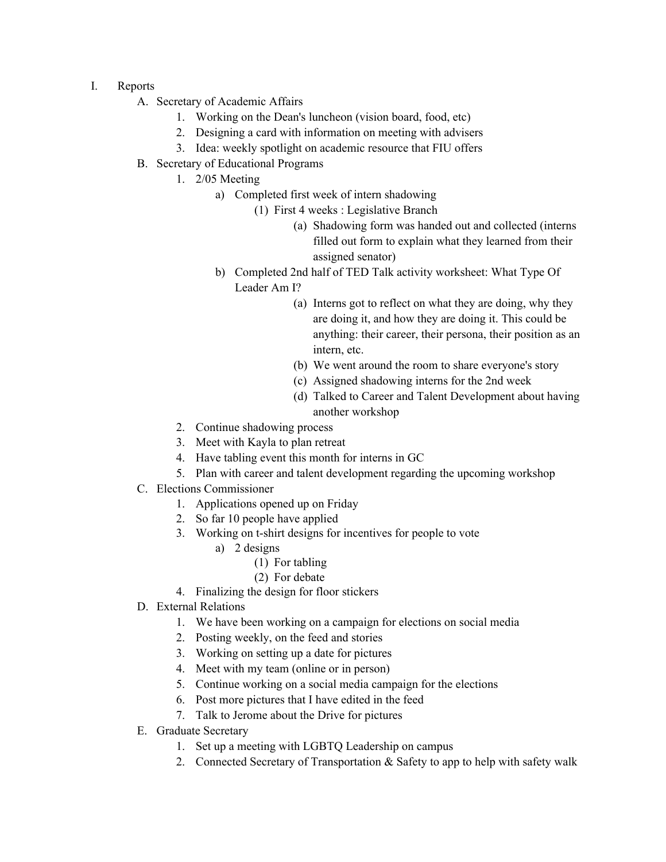- I. Reports
	- A. Secretary of Academic Affairs
		- 1. Working on the Dean's luncheon (vision board, food, etc)
		- 2. Designing a card with information on meeting with advisers
		- 3. Idea: weekly spotlight on academic resource that FIU offers
	- B. Secretary of Educational Programs
		- 1. 2/05 Meeting
			- a) Completed first week of intern shadowing
				- (1) First 4 weeks : Legislative Branch
					- (a) Shadowing form was handed out and collected (interns filled out form to explain what they learned from their assigned senator)
			- b) Completed 2nd half of TED Talk activity worksheet: What Type Of Leader Am I?
				- (a) Interns got to reflect on what they are doing, why they are doing it, and how they are doing it. This could be anything: their career, their persona, their position as an intern, etc.
				- (b) We went around the room to share everyone's story
				- (c) Assigned shadowing interns for the 2nd week
				- (d) Talked to Career and Talent Development about having another workshop
		- 2. Continue shadowing process
		- 3. Meet with Kayla to plan retreat
		- 4. Have tabling event this month for interns in GC
		- 5. Plan with career and talent development regarding the upcoming workshop
	- C. Elections Commissioner
		- 1. Applications opened up on Friday
		- 2. So far 10 people have applied
		- 3. Working on t-shirt designs for incentives for people to vote
			- a) 2 designs
				- (1) For tabling
				- (2) For debate
		- 4. Finalizing the design for floor stickers
	- D. External Relations
		- 1. We have been working on a campaign for elections on social media
		- 2. Posting weekly, on the feed and stories
		- 3. Working on setting up a date for pictures
		- 4. Meet with my team (online or in person)
		- 5. Continue working on a social media campaign for the elections
		- 6. Post more pictures that I have edited in the feed
		- 7. Talk to Jerome about the Drive for pictures
	- E. Graduate Secretary
		- 1. Set up a meeting with LGBTQ Leadership on campus
		- 2. Connected Secretary of Transportation & Safety to app to help with safety walk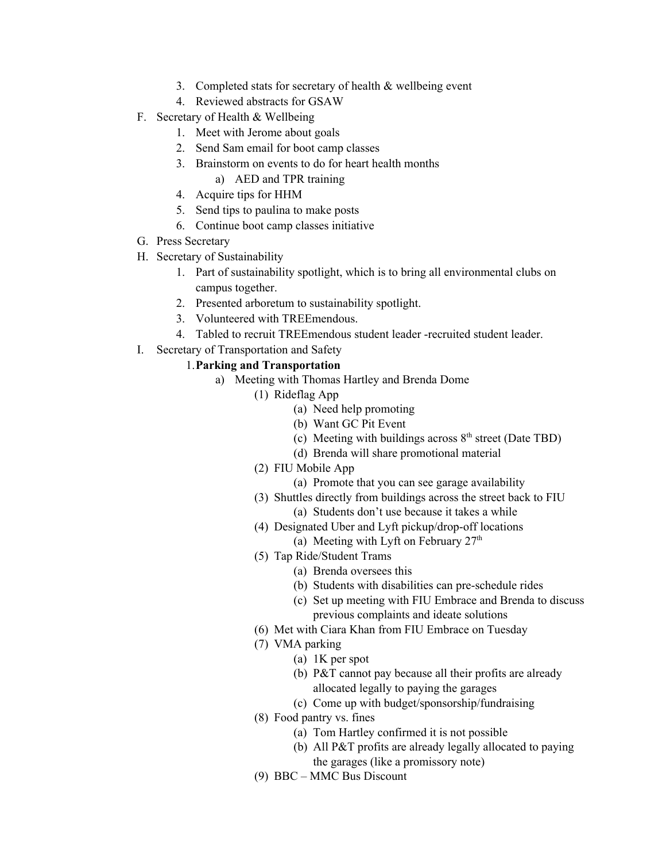- 3. Completed stats for secretary of health & wellbeing event
- 4. Reviewed abstracts for GSAW
- F. Secretary of Health & Wellbeing
	- 1. Meet with Jerome about goals
	- 2. Send Sam email for boot camp classes
	- 3. Brainstorm on events to do for heart health months
		- a) AED and TPR training
	- 4. Acquire tips for HHM
	- 5. Send tips to paulina to make posts
	- 6. Continue boot camp classes initiative
- G. Press Secretary
- H. Secretary of Sustainability
	- 1. Part of sustainability spotlight, which is to bring all environmental clubs on campus together.
	- 2. Presented arboretum to sustainability spotlight.
	- 3. Volunteered with TREEmendous.
	- 4. Tabled to recruit TREEmendous student leader -recruited student leader.
- I. Secretary of Transportation and Safety

### 1.**Parking and Transportation**

- a) Meeting with Thomas Hartley and Brenda Dome
	- (1) Rideflag App
		- (a) Need help promoting
		- (b) Want GC Pit Event
		- (c) Meeting with buildings across  $8<sup>th</sup>$  street (Date TBD)
		- (d) Brenda will share promotional material
		- (2) FIU Mobile App
			- (a) Promote that you can see garage availability
		- (3) Shuttles directly from buildings across the street back to FIU
			- (a) Students don't use because it takes a while
		- (4) Designated Uber and Lyft pickup/drop-off locations
			- (a) Meeting with Lyft on February  $27<sup>th</sup>$
		- (5) Tap Ride/Student Trams
			- (a) Brenda oversees this
			- (b) Students with disabilities can pre-schedule rides
			- (c) Set up meeting with FIU Embrace and Brenda to discuss previous complaints and ideate solutions
		- (6) Met with Ciara Khan from FIU Embrace on Tuesday
		- (7) VMA parking
			- (a) 1K per spot
			- (b) P&T cannot pay because all their profits are already allocated legally to paying the garages
			- (c) Come up with budget/sponsorship/fundraising
		- (8) Food pantry vs. fines
			- (a) Tom Hartley confirmed it is not possible
			- (b) All P&T profits are already legally allocated to paying the garages (like a promissory note)
		- (9) BBC MMC Bus Discount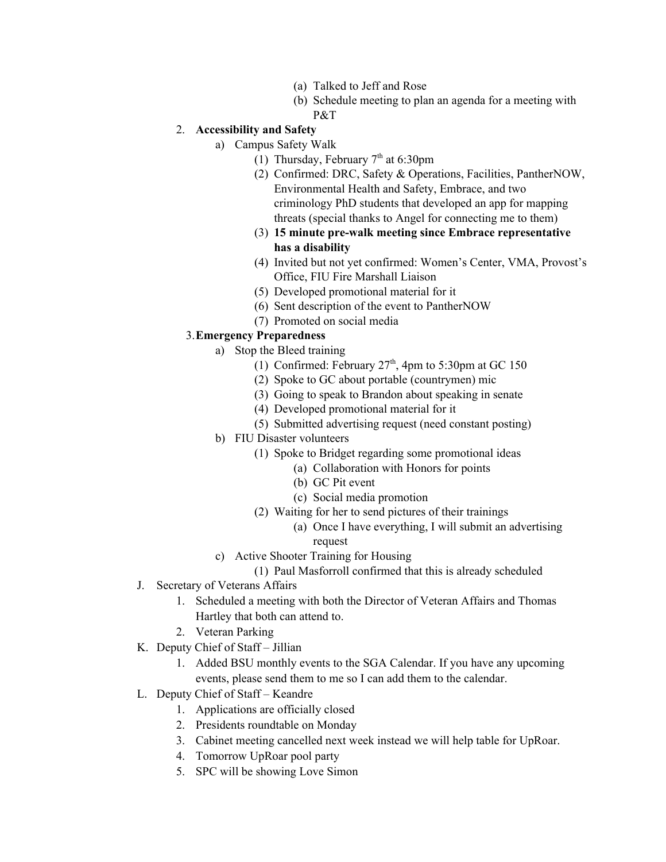- (a) Talked to Jeff and Rose
- (b) Schedule meeting to plan an agenda for a meeting with P&T

# 2. **Accessibility and Safety**

- a) Campus Safety Walk
	- (1) Thursday, February  $7<sup>th</sup>$  at 6:30pm
	- (2) Confirmed: DRC, Safety & Operations, Facilities, PantherNOW, Environmental Health and Safety, Embrace, and two criminology PhD students that developed an app for mapping threats (special thanks to Angel for connecting me to them)
	- (3) **15 minute pre-walk meeting since Embrace representative has a disability**
	- (4) Invited but not yet confirmed: Women's Center, VMA, Provost's Office, FIU Fire Marshall Liaison
	- (5) Developed promotional material for it
	- (6) Sent description of the event to PantherNOW
	- (7) Promoted on social media

#### 3.**Emergency Preparedness**

- a) Stop the Bleed training
	- (1) Confirmed: February  $27<sup>th</sup>$ , 4pm to 5:30pm at GC 150
	- (2) Spoke to GC about portable (countrymen) mic
	- (3) Going to speak to Brandon about speaking in senate
	- (4) Developed promotional material for it
	- (5) Submitted advertising request (need constant posting)
- b) FIU Disaster volunteers
	- (1) Spoke to Bridget regarding some promotional ideas
		- (a) Collaboration with Honors for points
		- (b) GC Pit event
		- (c) Social media promotion
	- (2) Waiting for her to send pictures of their trainings
		- (a) Once I have everything, I will submit an advertising request
- c) Active Shooter Training for Housing
- (1) Paul Masforroll confirmed that this is already scheduled
- J. Secretary of Veterans Affairs
	- 1. Scheduled a meeting with both the Director of Veteran Affairs and Thomas Hartley that both can attend to.
	- 2. Veteran Parking
- K. Deputy Chief of Staff Jillian
	- 1. Added BSU monthly events to the SGA Calendar. If you have any upcoming events, please send them to me so I can add them to the calendar.
- L. Deputy Chief of Staff Keandre
	- 1. Applications are officially closed
	- 2. Presidents roundtable on Monday
	- 3. Cabinet meeting cancelled next week instead we will help table for UpRoar.
	- 4. Tomorrow UpRoar pool party
	- 5. SPC will be showing Love Simon